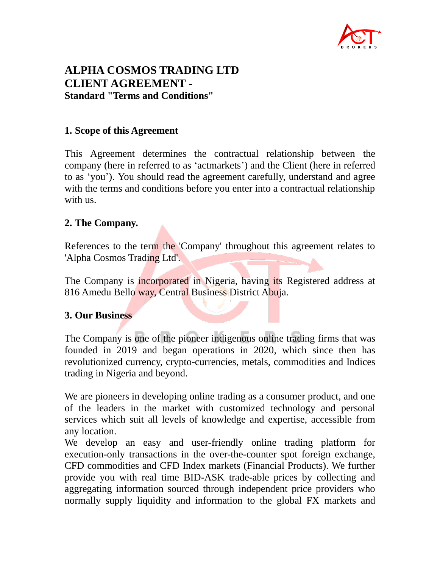

# **ALPHA COSMOS TRADING LTD CLIENT AGREEMENT - Standard "Terms and Conditions"**

#### **1. Scope of this Agreement**

This Agreement determines the contractual relationship between the company (here in referred to as 'actmarkets') and the Client (here in referred to as 'you'). You should read the agreement carefully, understand and agree with the terms and conditions before you enter into a contractual relationship with us.

### **2. The Company.**

References to the term the 'Company' throughout this agreement relates to 'Alpha Cosmos Trading Ltd'.

The Company is incorporated in Nigeria, having its Registered address at 816 Amedu Bello way, Central Business District Abuja.

### **3. Our Business**

The Company is one of the pioneer indigenous online trading firms that was founded in 2019 and began operations in 2020, which since then has revolutionized currency, crypto-currencies, metals, commodities and Indices trading in Nigeria and beyond.

We are pioneers in developing online trading as a consumer product, and one of the leaders in the market with customized technology and personal services which suit all levels of knowledge and expertise, accessible from any location.

We develop an easy and user-friendly online trading platform for execution-only transactions in the over-the-counter spot foreign exchange, CFD commodities and CFD Index markets (Financial Products). We further provide you with real time BID-ASK trade-able prices by collecting and aggregating information sourced through independent price providers who normally supply liquidity and information to the global FX markets and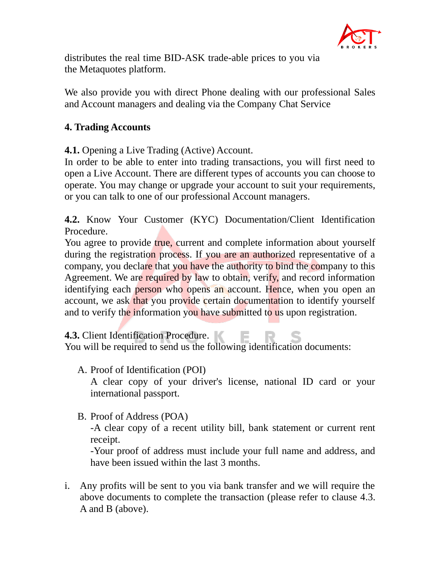

distributes the real time BID-ASK trade-able prices to you via the Metaquotes platform.

We also provide you with direct Phone dealing with our professional Sales and Account managers and dealing via the Company Chat Service

### **4. Trading Accounts**

**4.1.** Opening a Live Trading (Active) Account.

In order to be able to enter into trading transactions, you will first need to open a Live Account. There are different types of accounts you can choose to operate. You may change or upgrade your account to suit your requirements, or you can talk to one of our professional Account managers.

**4.2.** Know Your Customer (KYC) Documentation/Client Identification Procedure.

You agree to provide true, current and complete information about yourself during the registration process. If you are an authorized representative of a company, you declare that you have the authority to bind the company to this Agreement. We are required by law to obtain, verify, and record information identifying each person who opens an account. Hence, when you open an account, we ask that you provide certain documentation to identify yourself and to verify the information you have submitted to us upon registration.

**4.3.** Client Identification Procedure.

You will be required to send us the following identification documents:

A. Proof of Identification (POI)

A clear copy of your driver's license, national ID card or your international passport.

B. Proof of Address (POA)

-A clear copy of a recent utility bill, bank statement or current rent receipt.

-Your proof of address must include your full name and address, and have been issued within the last 3 months.

i. Any profits will be sent to you via bank transfer and we will require the above documents to complete the transaction (please refer to clause 4.3. A and B (above).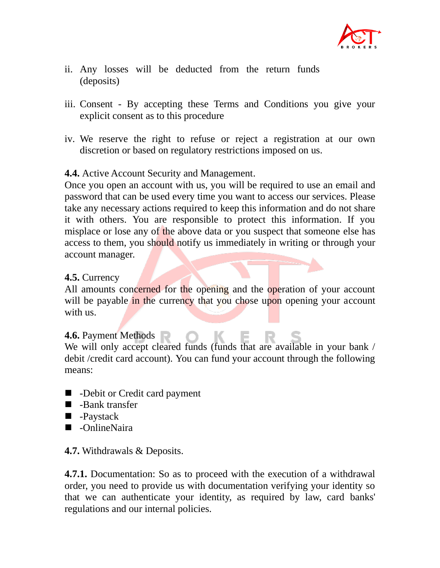

- ii. Any losses will be deducted from the return funds (deposits)
- iii. Consent By accepting these Terms and Conditions you give your explicit consent as to this procedure
- iv. We reserve the right to refuse or reject a registration at our own discretion or based on regulatory restrictions imposed on us.

### **4.4.** Active Account Security and Management.

Once you open an account with us, you will be required to use an email and password that can be used every time you want to access our services. Please take any necessary actions required to keep this information and do not share it with others. You are responsible to protect this information. If you misplace or lose any of the above data or you suspect that someone else has access to them, you should notify us immediately in writing or through your account manager.

### **4.5.** Currency

All amounts concerned for the opening and the operation of your account will be payable in the currency that you chose upon opening your account with us.

### **4.6.** Payment Methods

We will only accept cleared funds (funds that are available in your bank / debit /credit card account). You can fund your account through the following means:

- -Debit or Credit card payment
- -Bank transfer
- -Paystack
- -OnlineNaira

### **4.7.** Withdrawals & Deposits.

**4.7.1.** Documentation: So as to proceed with the execution of a withdrawal order, you need to provide us with documentation verifying your identity so that we can authenticate your identity, as required by law, card banks' regulations and our internal policies.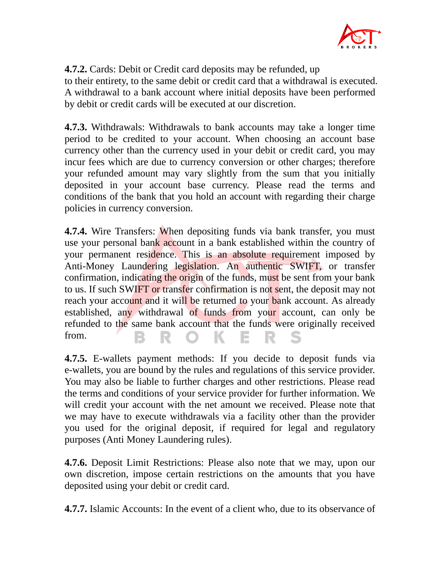

**4.7.2.** Cards: Debit or Credit card deposits may be refunded, up to their entirety, to the same debit or credit card that a withdrawal is executed. A withdrawal to a bank account where initial deposits have been performed by debit or credit cards will be executed at our discretion.

**4.7.3.** Withdrawals: Withdrawals to bank accounts may take a longer time period to be credited to your account. When choosing an account base currency other than the currency used in your debit or credit card, you may incur fees which are due to currency conversion or other charges; therefore your refunded amount may vary slightly from the sum that you initially deposited in your account base currency. Please read the terms and conditions of the bank that you hold an account with regarding their charge policies in currency conversion.

**4.7.4.** Wire Transfers: When depositing funds via bank transfer, you must use your personal bank account in a bank established within the country of your permanent residence. This is an absolute requirement imposed by Anti-Money Laundering legislation. An authentic SWIFT, or transfer confirmation, indicating the origin of the funds, must be sent from your bank to us. If such SWIFT or transfer confirmation is not sent, the deposit may not reach your account and it will be returned to your bank account. As already established, any withdrawal of funds from your account, can only be refunded to the same bank account that the funds were originally received from. K Е B

**4.7.5.** E-wallets payment methods: If you decide to deposit funds via e-wallets, you are bound by the rules and regulations of this service provider. You may also be liable to further charges and other restrictions. Please read the terms and conditions of your service provider for further information. We will credit your account with the net amount we received. Please note that we may have to execute withdrawals via a facility other than the provider you used for the original deposit, if required for legal and regulatory purposes (Anti Money Laundering rules).

**4.7.6.** Deposit Limit Restrictions: Please also note that we may, upon our own discretion, impose certain restrictions on the amounts that you have deposited using your debit or credit card.

**4.7.7.** Islamic Accounts: In the event of a client who, due to its observance of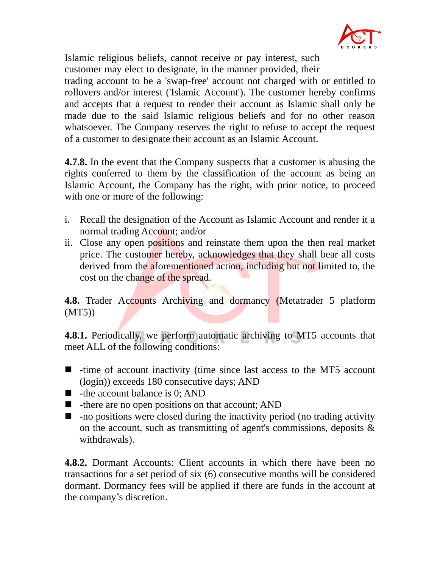

Islamic religious beliefs, cannot receive or pay interest, such customer may elect to designate, in the manner provided, their trading account to be a 'swap-free' account not charged with or entitled to rollovers and/or interest ('Islamic Account'). The customer hereby confirms and accepts that a request to render their account as Islamic shall only be made due to the said Islamic religious beliefs and for no other reason whatsoever. The Company reserves the right to refuse to accept the request of a customer to designate their account as an Islamic Account.

**4.7.8.** In the event that the Company suspects that a customer is abusing the rights conferred to them by the classification of the account as being an Islamic Account, the Company has the right, with prior notice, to proceed with one or more of the following:

- i. Recall the designation of the Account as Islamic Account and render it a normal trading Account; and/or
- ii. Close any open positions and reinstate them upon the then real market price. The customer hereby, acknowledges that they shall bear all costs derived from the aforementioned action, including but not limited to, the cost on the change of the spread.

**4.8.** Trader Accounts Archiving and dormancy (Metatrader 5 platform (MT5))

**4.8.1.** Periodically, we perform automatic archiving to MT5 accounts that meet ALL of the following conditions:

- time of account inactivity (time since last access to the MT5 account (login)) exceeds 180 consecutive days; AND
- $\blacksquare$  -the account balance is 0: AND
- $\blacksquare$  -there are no open positions on that account; AND
- $\blacksquare$  -no positions were closed during the inactivity period (no trading activity on the account, such as transmitting of agent's commissions, deposits & withdrawals).

**4.8.2.** Dormant Accounts: Client accounts in which there have been no transactions for a set period of six (6) consecutive months will be considered dormant. Dormancy fees will be applied if there are funds in the account at the company's discretion.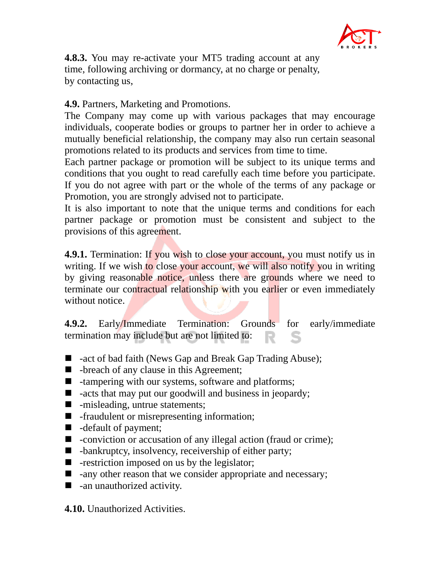

**4.8.3.** You may re-activate your MT5 trading account at any time, following archiving or dormancy, at no charge or penalty, by contacting us,

### **4.9.** Partners, Marketing and Promotions.

The Company may come up with various packages that may encourage individuals, cooperate bodies or groups to partner her in order to achieve a mutually beneficial relationship, the company may also run certain seasonal promotions related to its products and services from time to time.

Each partner package or promotion will be subject to its unique terms and conditions that you ought to read carefully each time before you participate. If you do not agree with part or the whole of the terms of any package or Promotion, you are strongly advised not to participate.

It is also important to note that the unique terms and conditions for each partner package or promotion must be consistent and subject to the provisions of this agreement.

**4.9.1.** Termination: If you wish to close your account, you must notify us in writing. If we wish to close your account, we will also notify you in writing by giving reasonable notice, unless there are grounds where we need to terminate our contractual relationship with you earlier or even immediately without notice

**4.9.2.** Early/Immediate Termination: Grounds for early/immediate termination may include but are not limited to:

- -act of bad faith (News Gap and Break Gap Trading Abuse);
- -breach of any clause in this Agreement;
- -tampering with our systems, software and platforms;
- $\blacksquare$  -acts that may put our goodwill and business in jeopardy;
- -misleading, untrue statements;
- -fraudulent or misrepresenting information;
- -default of payment;
- -conviction or accusation of any illegal action (fraud or crime);
- $\blacksquare$  -bankruptcy, insolvency, receivership of either party;
- $\blacksquare$  -restriction imposed on us by the legislator;
- $\blacksquare$  -any other reason that we consider appropriate and necessary;
- $\blacksquare$  -an unauthorized activity.

**4.10.** Unauthorized Activities.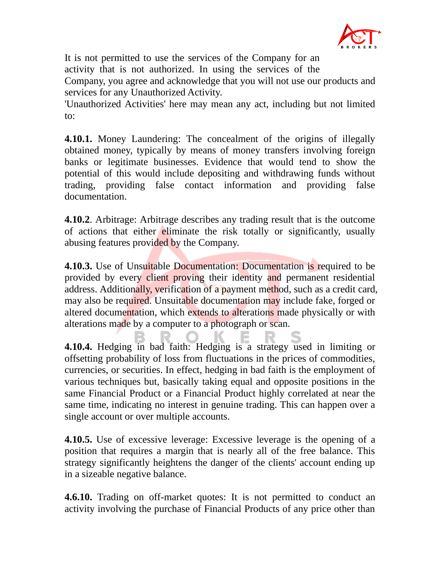

It is not permitted to use the services of the Company for an activity that is not authorized. In using the services of the

Company, you agree and acknowledge that you will not use our products and services for any Unauthorized Activity.

'Unauthorized Activities' here may mean any act, including but not limited to:

**4.10.1.** Money Laundering: The concealment of the origins of illegally obtained money, typically by means of money transfers involving foreign banks or legitimate businesses. Evidence that would tend to show the potential of this would include depositing and withdrawing funds without trading, providing false contact information and providing false documentation.

**4.10.2**. Arbitrage: Arbitrage describes any trading result that is the outcome of actions that either eliminate the risk totally or significantly, usually abusing features provided by the Company.

**4.10.3.** Use of Unsuitable Documentation: Documentation is required to be provided by every client proving their identity and permanent residential address. Additionally, verification of a payment method, such as a credit card, may also be required. Unsuitable documentation may include fake, forged or altered documentation, which extends to alterations made physically or with alterations made by a computer to a photograph or scan.

**4.10.4.** Hedging in bad faith: Hedging is a strategy used in limiting or offsetting probability of loss from fluctuations in the prices of commodities, currencies, or securities. In effect, hedging in bad faith is the employment of various techniques but, basically taking equal and opposite positions in the same Financial Product or a Financial Product highly correlated at near the same time, indicating no interest in genuine trading. This can happen over a single account or over multiple accounts.

**4.10.5.** Use of excessive leverage: Excessive leverage is the opening of a position that requires a margin that is nearly all of the free balance. This strategy significantly heightens the danger of the clients' account ending up in a sizeable negative balance.

**4.6.10.** Trading on off-market quotes: It is not permitted to conduct an activity involving the purchase of Financial Products of any price other than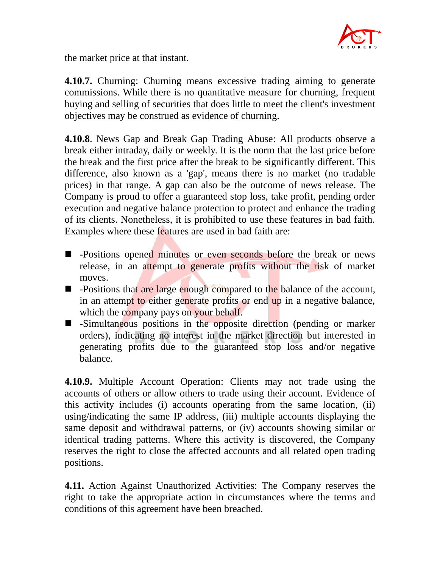

the market price at that instant.

**4.10.7.** Churning: Churning means excessive trading aiming to generate commissions. While there is no quantitative measure for churning, frequent buying and selling of securities that does little to meet the client's investment objectives may be construed as evidence of churning.

**4.10.8**. News Gap and Break Gap Trading Abuse: All products observe a break either intraday, daily or weekly. It is the norm that the last price before the break and the first price after the break to be significantly different. This difference, also known as a 'gap', means there is no market (no tradable prices) in that range. A gap can also be the outcome of news release. The Company is proud to offer a guaranteed stop loss, take profit, pending order execution and negative balance protection to protect and enhance the trading of its clients. Nonetheless, it is prohibited to use these features in bad faith. Examples where these features are used in bad faith are:

- -Positions opened minutes or even seconds before the break or news release, in an attempt to generate profits without the risk of market moves.
- -Positions that are large enough compared to the balance of the account, in an attempt to either generate profits or end up in a negative balance, which the company pays on your behalf.
- -Simultaneous positions in the opposite direction (pending or marker orders), indicating no interest in the market direction but interested in generating profits due to the guaranteed stop loss and/or negative balance.

**4.10.9.** Multiple Account Operation: Clients may not trade using the accounts of others or allow others to trade using their account. Evidence of this activity includes (i) accounts operating from the same location, (ii) using/indicating the same IP address, (iii) multiple accounts displaying the same deposit and withdrawal patterns, or (iv) accounts showing similar or identical trading patterns. Where this activity is discovered, the Company reserves the right to close the affected accounts and all related open trading positions.

**4.11.** Action Against Unauthorized Activities: The Company reserves the right to take the appropriate action in circumstances where the terms and conditions of this agreement have been breached.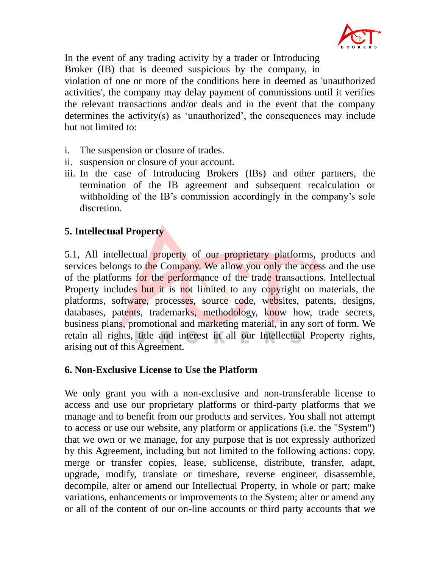

In the event of any trading activity by a trader or Introducing Broker (IB) that is deemed suspicious by the company, in violation of one or more of the conditions here in deemed as 'unauthorized activities', the company may delay payment of commissions until it verifies the relevant transactions and/or deals and in the event that the company determines the activity(s) as 'unauthorized', the consequences may include but not limited to:

- i. The suspension or closure of trades.
- ii. suspension or closure of your account.
- iii. In the case of Introducing Brokers (IBs) and other partners, the termination of the IB agreement and subsequent recalculation or withholding of the IB's commission accordingly in the company's sole discretion.

# **5. Intellectual Property**

5.1, All intellectual property of our proprietary platforms, products and services belongs to the Company. We allow you only the access and the use of the platforms for the performance of the trade transactions. Intellectual Property includes but it is not limited to any copyright on materials, the platforms, software, processes, source code, websites, patents, designs, databases, patents, trademarks, methodology, know how, trade secrets, business plans, promotional and marketing material, in any sort of form. We retain all rights, title and interest in all our Intellectual Property rights, arising out of this Agreement.

### **6. Non-Exclusive License to Use the Platform**

We only grant you with a non-exclusive and non-transferable license to access and use our proprietary platforms or third-party platforms that we manage and to benefit from our products and services. You shall not attempt to access or use our website, any platform or applications (i.e. the "System") that we own or we manage, for any purpose that is not expressly authorized by this Agreement, including but not limited to the following actions: copy, merge or transfer copies, lease, sublicense, distribute, transfer, adapt, upgrade, modify, translate or timeshare, reverse engineer, disassemble, decompile, alter or amend our Intellectual Property, in whole or part; make variations, enhancements or improvements to the System; alter or amend any or all of the content of our on-line accounts or third party accounts that we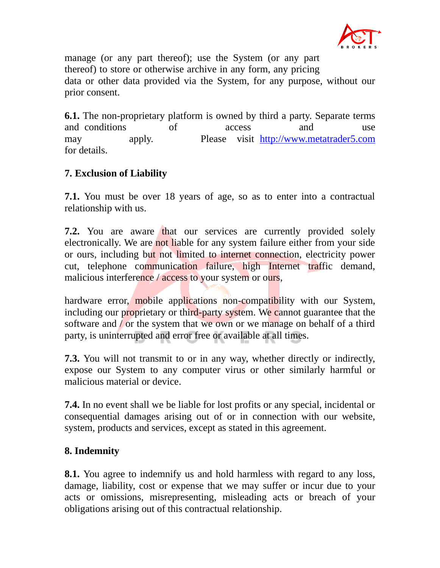

manage (or any part thereof); use the System (or any part thereof) to store or otherwise archive in any form, any pricing data or other data provided via the System, for any purpose, without our prior consent.

**6.1.** The non-proprietary platform is owned by third a party. Separate terms and conditions of access and use may apply. Please visit [http://www.metatrader5.com](http://www.metatrader5.com/) for details.

# **7. Exclusion of Liability**

**7.1.** You must be over 18 years of age, so as to enter into a contractual relationship with us.

**7.2.** You are aware that our services are currently provided solely electronically. We are not liable for any system failure either from your side or ours, including but not limited to internet connection, electricity power cut, telephone communication failure, high Internet traffic demand, malicious interference / access to your system or ours,

hardware error, mobile applications non-compatibility with our System, including our proprietary or third-party system. We cannot guarantee that the software and / or the system that we own or we manage on behalf of a third party, is uninterrupted and error free or available at all times.

**7.3.** You will not transmit to or in any way, whether directly or indirectly, expose our System to any computer virus or other similarly harmful or malicious material or device.

**7.4.** In no event shall we be liable for lost profits or any special, incidental or consequential damages arising out of or in connection with our website, system, products and services, except as stated in this agreement.

# **8. Indemnity**

**8.1.** You agree to indemnify us and hold harmless with regard to any loss, damage, liability, cost or expense that we may suffer or incur due to your acts or omissions, misrepresenting, misleading acts or breach of your obligations arising out of this contractual relationship.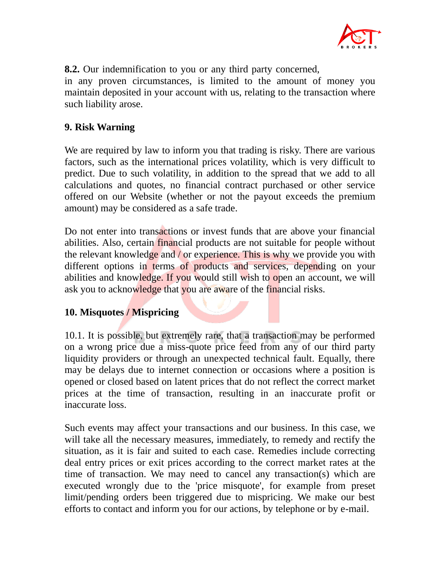

**8.2.** Our indemnification to you or any third party concerned,

in any proven circumstances, is limited to the amount of money you maintain deposited in your account with us, relating to the transaction where such liability arose.

### **9. Risk Warning**

We are required by law to inform you that trading is risky. There are various factors, such as the international prices volatility, which is very difficult to predict. Due to such volatility, in addition to the spread that we add to all calculations and quotes, no financial contract purchased or other service offered on our Website (whether or not the payout exceeds the premium amount) may be considered as a safe trade.

Do not enter into transactions or invest funds that are above your financial abilities. Also, certain financial products are not suitable for people without the relevant knowledge and / or experience. This is why we provide you with different options in terms of products and services, depending on your abilities and knowledge. If you would still wish to open an account, we will ask you to acknowledge that you are aware of the financial risks.

# **10. Misquotes / Mispricing**

10.1. It is possible, but extremely rare, that a transaction may be performed on a wrong price due a miss-quote price feed from any of our third party liquidity providers or through an unexpected technical fault. Equally, there may be delays due to internet connection or occasions where a position is opened or closed based on latent prices that do not reflect the correct market prices at the time of transaction, resulting in an inaccurate profit or inaccurate loss.

Such events may affect your transactions and our business. In this case, we will take all the necessary measures, immediately, to remedy and rectify the situation, as it is fair and suited to each case. Remedies include correcting deal entry prices or exit prices according to the correct market rates at the time of transaction. We may need to cancel any transaction(s) which are executed wrongly due to the 'price misquote', for example from preset limit/pending orders been triggered due to mispricing. We make our best efforts to contact and inform you for our actions, by telephone or by e-mail.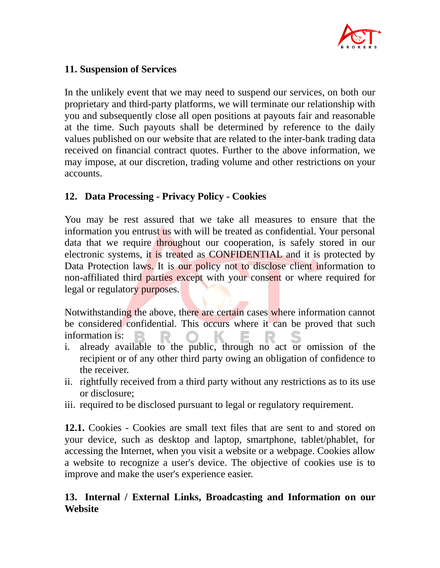

### **11. Suspension of Services**

In the unlikely event that we may need to suspend our services, on both our proprietary and third-party platforms, we will terminate our relationship with you and subsequently close all open positions at payouts fair and reasonable at the time. Such payouts shall be determined by reference to the daily values published on our website that are related to the inter-bank trading data received on financial contract quotes. Further to the above information, we may impose, at our discretion, trading volume and other restrictions on your accounts.

# **12. Data Processing - Privacy Policy - Cookies**

You may be rest assured that we take all measures to ensure that the information you entrust us with will be treated as confidential. Your personal data that we require throughout our cooperation, is safely stored in our electronic systems, it is treated as CONFIDENTIAL and it is protected by Data Protection laws. It is our policy not to disclose client information to non-affiliated third parties except with your consent or where required for legal or regulatory purposes.

Notwithstanding the above, there are certain cases where information cannot be considered confidential. This occurs where it can be proved that such information is:

- i. already available to the public, through no act or omission of the recipient or of any other third party owing an obligation of confidence to the receiver.
- ii. rightfully received from a third party without any restrictions as to its use or disclosure;
- iii. required to be disclosed pursuant to legal or regulatory requirement.

**12.1.** Cookies - Cookies are small text files that are sent to and stored on your device, such as desktop and laptop, smartphone, tablet/phablet, for accessing the Internet, when you visit a website or a webpage. Cookies allow a website to recognize a user's device. The objective of cookies use is to improve and make the user's experience easier.

# **13. Internal / External Links, Broadcasting and Information on our Website**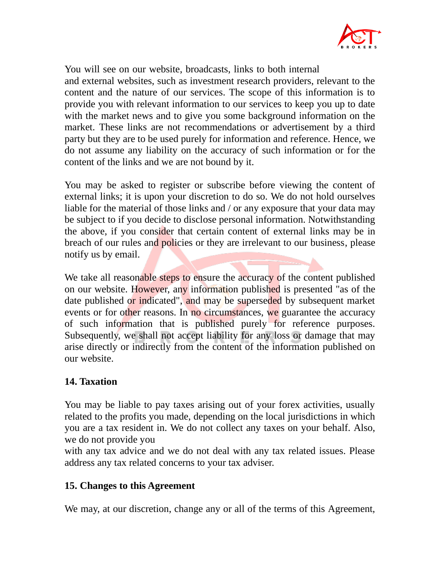

You will see on our website, broadcasts, links to both internal and external websites, such as investment research providers, relevant to the content and the nature of our services. The scope of this information is to provide you with relevant information to our services to keep you up to date with the market news and to give you some background information on the market. These links are not recommendations or advertisement by a third party but they are to be used purely for information and reference. Hence, we do not assume any liability on the accuracy of such information or for the content of the links and we are not bound by it.

You may be asked to register or subscribe before viewing the content of external links; it is upon your discretion to do so. We do not hold ourselves liable for the material of those links and / or any exposure that your data may be subject to if you decide to disclose personal information. Notwithstanding the above, if you consider that certain content of external links may be in breach of our rules and policies or they are irrelevant to our business, please notify us by email.

We take all reasonable steps to ensure the accuracy of the content published on our website. However, any information published is presented "as of the date published or indicated", and may be superseded by subsequent market events or for other reasons. In no circumstances, we guarantee the accuracy of such information that is published purely for reference purposes. Subsequently, we shall not accept liability for any loss or damage that may arise directly or indirectly from the content of the information published on our website.

### **14. Taxation**

You may be liable to pay taxes arising out of your forex activities, usually related to the profits you made, depending on the local jurisdictions in which you are a tax resident in. We do not collect any taxes on your behalf. Also, we do not provide you

with any tax advice and we do not deal with any tax related issues. Please address any tax related concerns to your tax adviser.

### **15. Changes to this Agreement**

We may, at our discretion, change any or all of the terms of this Agreement,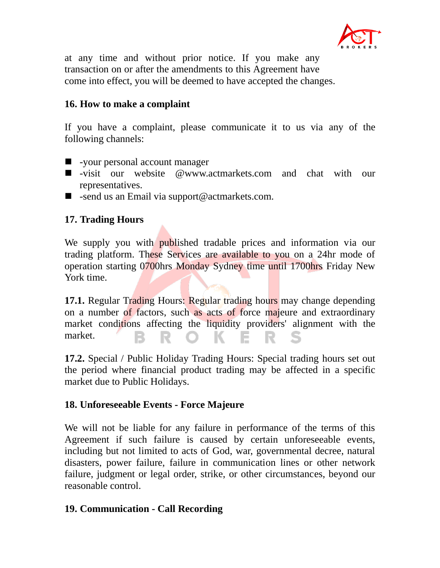

at any time and without prior notice. If you make any transaction on or after the amendments to this Agreement have come into effect, you will be deemed to have accepted the changes.

### **16. How to make a complaint**

If you have a complaint, please communicate it to us via any of the following channels:

- -your personal account manager
- -visit our website @www.actmarkets.com and chat with our representatives.
- $\blacksquare$  -send us an Email via support@actmarkets.com.

### **17. Trading Hours**

We supply you with published tradable prices and information via our trading platform. These Services are available to you on a 24hr mode of operation starting 0700hrs Monday Sydney time until 1700hrs Friday New York time.

**17.1.** Regular Trading Hours: Regular trading hours may change depending on a number of factors, such as acts of force majeure and extraordinary market conditions affecting the liquidity providers' alignment with the market. в R O K. E.

**17.2.** Special / Public Holiday Trading Hours: Special trading hours set out the period where financial product trading may be affected in a specific market due to Public Holidays.

### **18. Unforeseeable Events - Force Majeure**

We will not be liable for any failure in performance of the terms of this Agreement if such failure is caused by certain unforeseeable events, including but not limited to acts of God, war, governmental decree, natural disasters, power failure, failure in communication lines or other network failure, judgment or legal order, strike, or other circumstances, beyond our reasonable control.

### **19. Communication - Call Recording**